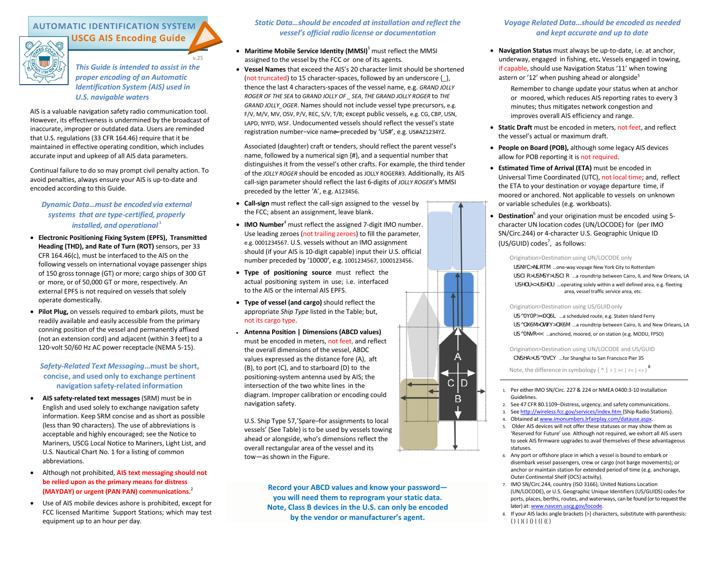# **AUTOMATIC IDENTIFICATION SYSTEM USCG AIS Encoding Guide**



**v.25** *This Guide is intended to assist in the proper encoding of an Automatic Identification System (AIS) used in U.S. navigable waters*

AIS is a valuable navigation safety radio communication tool. However, its effectiveness is undermined by the broadcast of inaccurate, improper or outdated data. Users are reminded that U.S. regulations (33 CFR 164.46) require that it be maintained in effective operating condition, which includes accurate input and upkeep of all AIS data parameters.

Continual failure to do so may prompt civil penalty action. To avoid penalties, always ensure your AIS is up-to-date and encoded according to this Guide.

# *Dynamic Data***…***must be encoded via external systems that are type-certified, properly installed, and operational* **<sup>1</sup>**

- **Electronic Positioning Fixing System (EPFS), Transmitted Heading (THD), and Rate of Turn (ROT)** sensors, per 33 CFR 164.46(c), must be interfaced to the AIS on the following vessels on international voyage passenger ships of 150 gross tonnage (GT) or more; cargo ships of 300 GT or more, or of 50,000 GT or more, respectively. An external EPFS is not required on vessels that solely operate domestically.
- **Pilot Plug,** on vessels required to embark pilots, must be readily available and easily accessible from the primary conning position of the vessel and permanently affixed (not an extension cord) and adjacent (within 3 feet) to a 120-volt 50/60 Hz AC power receptacle (NEMA 5-15).

# *Safety-Related Text Messaging***…must be short, concise, and used only to exchange pertinent navigation safety-related information**

- **AIS safety-related text messages** (SRM) must be in English and used solely to exchange navigation safety information. Keep SRM concise and as short as possible (less than 90 characters). The use of abbreviations is acceptable and highly encouraged; see the Notice to Mariners, USCG Local Notice to Mariners, Light List, and U.S. Nautical Chart No. 1 for a listing of common abbreviations.
- Although not prohibited, **AIS text messaging should not be relied upon as the primary means for distress (MAYDAY) or urgent (PAN PAN) communications.** 2
- Use of AIS mobile devices ashore is prohibited, except for FCC licensed Maritime Support Stations; which may test equipment up to an hour per day.

# *Static Data…should be encoded at installation and reflect the vessel's official radio license or documentation*

- **Maritime Mobile Service Identity (MMSI)**<sup>3</sup> must reflect the MMSI assigned to the vessel by the FCC or one of its agents.
- **Vessel Names** that exceed the AIS's 20 character limit should be shortened (not truncated) to 15 character-spaces, followed by an underscore {\_}, thence the last 4 characters-spaces of the vessel name, e.g. *GRAND JOLLY ROGER OF THE SEA* to *GRAND JOLLY OF \_ SEA*, *THE GRAND JOLLY ROGER* to *THE GRAND JOLLY\_OGER*. Names should not include vessel type precursors, e.g. F/V, M/V, MV, OSV, P/V, REC, S/V, T/B; except public vessels, e.g. CG, CBP, USN, LAPD, NYFD, WSF. Undocumented vessels should reflect the vessel's state registration number−vice name̶−preceded by 'US#', e.g. US#AZ1234YZ.

Associated (daughter) craft or tenders, should reflect the parent vessel's name, followed by a numerical sign {#}, and a sequential number that distinguishes it from the vessel's other crafts. For example, the third tender of the *JOLLY ROGER* should be encoded as JOLLY ROGER#3. Additionally, its AIS call-sign parameter should reflect the last 6-digits of *JOLLY ROGER*'s MMSI preceded by the letter 'A', e.g. A123456.

- **Call-sign** must reflect the call-sign assigned to the vessel by the FCC; absent an assignment, leave blank.
- **IMO Number**<sup>4</sup> must reflect the assigned 7-digit IMO number. Use leading zeroes (not trailing zeroes) to fill the parameter, e.g. 0001234567. U.S. vessels without an IMO assignment should (if your AIS is 10-digit capable) input their U.S. official number preceded by '10000', e.g. 1001234567, 1000123456.
- **Type of positioning source** must reflect the actual positioning system in use; i.e. interfaced to the AIS or the internal AIS EPFS.
- **Type of vessel (and cargo)** should reflect the appropriate *Ship Type* listed in the Table; but, not its cargo type.
- **Antenna Position | Dimensions (ABCD values)** must be encoded in meters, not feet, and reflect the overall dimensions of the vessel, ABDC values expressed as the distance fore (A), aft (B), to port (C), and to starboard (D) to the positioning-system antenna used by AIS; the intersection of the two white lines in the diagram. Improper calibration or encoding could navigation safety.

U.S. Ship Type 57,'Spare–for assignments to local vessels' (See Table) is to be used by vessels towing ahead or alongside, who's dimensions reflect the overall rectangular area of the vessel and its tow—as shown in the Figure.

> **Record your ABCD values and know your password you will need them to reprogram your static data. Note, Class B devices in the U.S. can only be encoded by the vendor or manufacturer's agent.**

# *Voyage Related Data…should be encoded as needed and kept accurate and up to date*

• **Navigation Status** must always be up-to-date, i.e. at anchor, underway, engaged in fishing, etc**.** Vessels engaged in towing, if capable, should use Navigation Status '11' when towing astern or '12' when pushing ahead or alongside<sup>5</sup>

> Remember to change update your status when at anchor or moored, which reduces AIS reporting rates to every 3 minutes; thus mitigates network congestion and improves overall AIS efficiency and range.

- **Static Draft** must be encoded in meters, not feet, and reflect the vessel's actual or maximum draft.
- **People on Board (POB),** although some legacy AIS devices allow for POB reporting it is not required.
- **Estimated Time of Arrival (ETA)** must be encoded in Universal Time Coordinated (UTC), not local time; and, reflect the ETA to your destination or voyage departure time, if moored or anchored. Not applicable to vessels on unknown or variable schedules (e.g. workboats).
- Destination<sup>6</sup> and your origination must be encoded using 5character UN location codes (UN/LOCODE) for (per IMO SN/Circ.244) or 4-character U.S. Geographic Unique ID (US/GUID) codes<sup>7</sup>, as follows:

### Origination>Destination using UN/LOCODE only

USNYC>NLRTM …one-way voyage New York City to Rotterdam USCIR>USMSY>USCIR …a roundtrip between Cairo, IL and New Orleans, LA USHOU<>USHOU …operating solely within a well defined area, e.g. fleeting area, vessel traffic service area, etc.

#### Origination>Destination using US/GUIDonly

US^0Y0P><0Q6L …a scheduled route, e.g. Staten Island Ferry US^OX6M>OWYY>OX6M ...a roundtrip between Cairo, IL and New Orleans, LA US^0NVR<< …anchored, moored, or on station (e.g. MODU, FPSO)

Origination>Destination using UN/LOCODE and US/GUID CNSHA>US^0VCY …for Shanghai to San Francisco Pier 35

Note, the difference in symbology { ^ | > | >< | << | <> }  $^8$ 

- 1. Per either IMO SN/Circ. 227 & 224 or NMEA 0400:3-10 Installation Guidelines.
- 2. See 47 CFR 80.1109–Distress, urgency, and safety communications.
- 3. See [http://wireless.fcc.gov/services/index.htm {S](http://wireless.fcc.gov/services/index.htm)hip Radio Stations}.
- 4. Obtained at [www.imonumbers.lrfairplay.com/datause.aspx.](http://www.imonumbers.lrfairplay.com/datause.aspx)
- 5. Older AIS devices will not offer these statuses or may show them as 'Reserved for Future' use. Although not required, we exhort all AIS users to seek AIS firmware upgrades to avail themselves of these advantageous statuses.
- 6. Any port or offshore place in which a vessel is bound to embark or disembark vessel passengers, crew or cargo (not barge movements); or anchor or maintain station for extended period of time (e.g. anchorage, Outer Continental Shelf (OCS) activity).
- 7. IMO SN/Circ.244, country (ISO 3166), United Nations Location (UN/LOCODE), or U.S. Geographic Unique Identifiers (US/GUIDS) codes for ports, places, berths, routes, and waterways, can be found (or to request the later) at: [www.navcen.uscg.gov/locode.](http://www.navcen.uscg.gov/locode)
- 8. If your AIS lacks angle brackets {>} characters, substitute with parenthesis:  $\{$ ) | )( | () | (| ((}